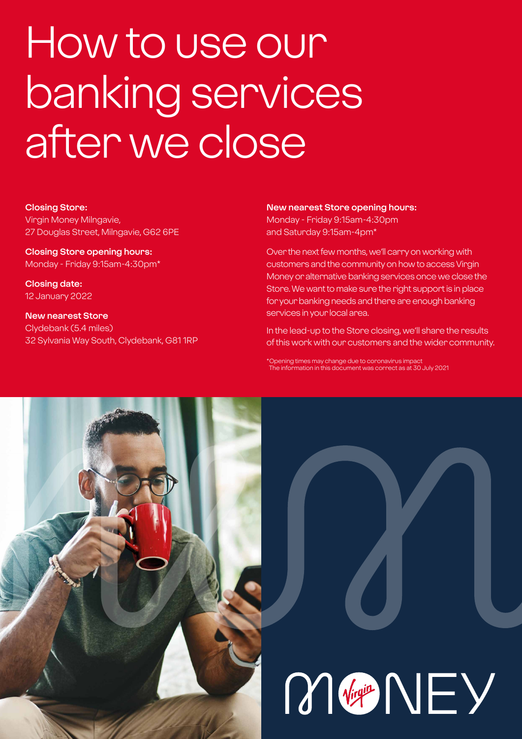# How to use our banking services after we close

### **Closing Store:**

Virgin Money Milngavie, 27 Douglas Street, Milngavie, G62 6PE

**Closing Store opening hours:**  Monday - Friday 9:15am-4:30pm\*

**Closing date:**  12 January 2022

**New nearest Store** Clydebank (5.4 miles) 32 Sylvania Way South, Clydebank, G81 1RP

### **New nearest Store opening hours:**

Monday - Friday 9:15am-4:30pm and Saturday 9:15am-4pm\*

Over the next few months, we'll carry on working with customers and the community on how to access Virgin Money or alternative banking services once we close the Store. We want to make sure the right support is in place for your banking needs and there are enough banking services in your local area.

In the lead-up to the Store closing, we'll share the results of this work with our customers and the wider community.

\*Opening times may change due to coronavirus impact The information in this document was correct as at 30 July 2021



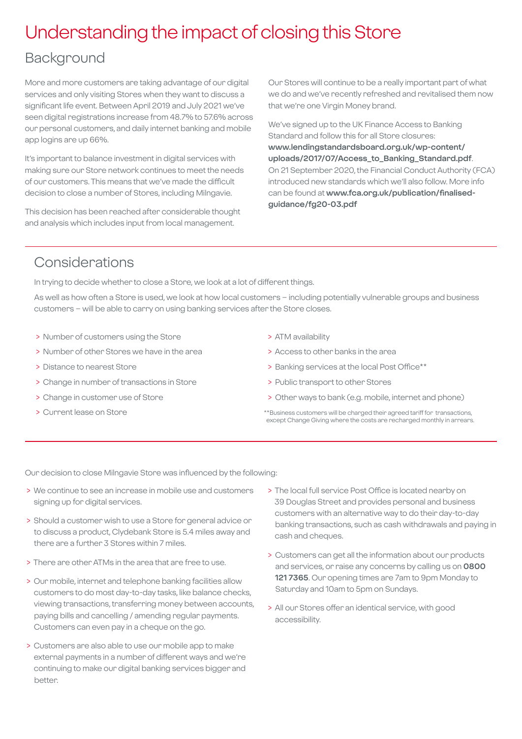## Understanding the impact of closing this Store

## Background

More and more customers are taking advantage of our digital services and only visiting Stores when they want to discuss a significant life event. Between April 2019 and July 2021 we've seen digital registrations increase from 48.7% to 57.6% across our personal customers, and daily internet banking and mobile app logins are up 66%.

It's important to balance investment in digital services with making sure our Store network continues to meet the needs of our customers. This means that we've made the difficult decision to close a number of Stores, including Milngavie.

This decision has been reached after considerable thought and analysis which includes input from local management.

Our Stores will continue to be a really important part of what we do and we've recently refreshed and revitalised them now that we're one Virgin Money brand.

We've signed up to the UK Finance Access to Banking Standard and follow this for all Store closures: **[www.lendingstandardsboard.org.uk/wp-content/](http://www.lendingstandardsboard.org.uk/wp-content/uploads/2017/07/Access_to_Banking_Standard.pdf) [uploads/2017/07/Access\\_to\\_Banking\\_Standard.pdf](http://www.lendingstandardsboard.org.uk/wp-content/uploads/2017/07/Access_to_Banking_Standard.pdf)**. On 21 September 2020, the Financial Conduct Authority (FCA) introduced new standards which we'll also follow. More info can be found at **[www.fca.org.uk/publication/finalised](http://www.fca.org.uk/publication/finalised-guidance/fg20-03.pdf)[guidance/fg20-03.pdf](http://www.fca.org.uk/publication/finalised-guidance/fg20-03.pdf)**

## Considerations

In trying to decide whether to close a Store, we look at a lot of different things.

As well as how often a Store is used, we look at how local customers – including potentially vulnerable groups and business customers – will be able to carry on using banking services after the Store closes.

- > Number of customers using the Store
- > Number of other Stores we have in the area
- > Distance to nearest Store
- > Change in number of transactions in Store
- > Change in customer use of Store
- > Current lease on Store
- > ATM availability
- > Access to other banks in the area
- > Banking services at the local Post Office\*\*
- > Public transport to other Stores
- > Other ways to bank (e.g. mobile, internet and phone)
- \*\*Business customers will be charged their agreed tariff for transactions, except Change Giving where the costs are recharged monthly in arrears.

Our decision to close Milngavie Store was influenced by the following:

- > We continue to see an increase in mobile use and customers signing up for digital services.
- > Should a customer wish to use a Store for general advice or to discuss a product, Clydebank Store is 5.4 miles away and there are a further 3 Stores within 7 miles.
- > There are other ATMs in the area that are free to use.
- > Our mobile, internet and telephone banking facilities allow customers to do most day-to-day tasks, like balance checks, viewing transactions, transferring money between accounts, paying bills and cancelling / amending regular payments. Customers can even pay in a cheque on the go.
- > Customers are also able to use our mobile app to make external payments in a number of different ways and we're continuing to make our digital banking services bigger and better.
- > The local full service Post Office is located nearby on 39 Douglas Street and provides personal and business customers with an alternative way to do their day-to-day banking transactions, such as cash withdrawals and paying in cash and cheques.
- > Customers can get all the information about our products and services, or raise any concerns by calling us on **0800 121 7365**. Our opening times are 7am to 9pm Monday to Saturday and 10am to 5pm on Sundays.
- > All our Stores offer an identical service, with good accessibility.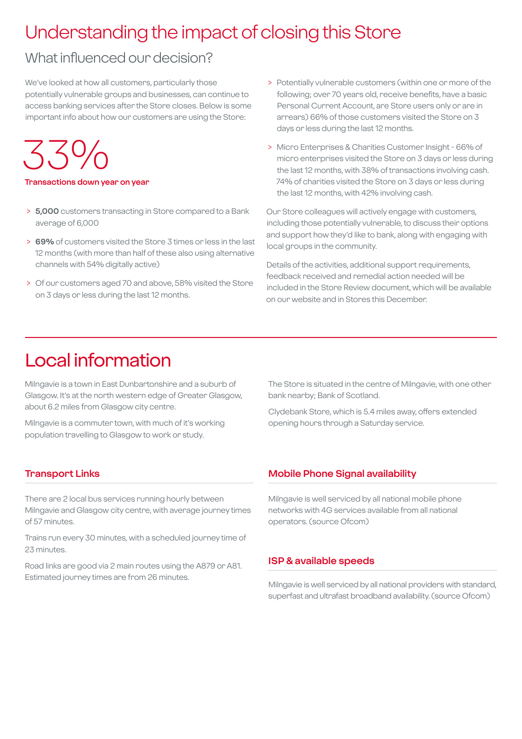## Understanding the impact of closing this Store

## What influenced our decision?

We've looked at how all customers, particularly those potentially vulnerable groups and businesses, can continue to access banking services after the Store closes. Below is some important info about how our customers are using the Store:

33%

### **Transactions down year on year**

- > **5,000** customers transacting in Store compared to a Bank average of 6,000
- > **69%** of customers visited the Store 3 times or less in the last 12 months (with more than half of these also using alternative channels with 54% digitally active)
- > Of our customers aged 70 and above, 58% visited the Store on 3 days or less during the last 12 months.
- > Potentially vulnerable customers (within one or more of the following; over 70 years old, receive benefits, have a basic Personal Current Account, are Store users only or are in arrears) 66% of those customers visited the Store on 3 days or less during the last 12 months.
- > Micro Enterprises & Charities Customer Insight 66% of micro enterprises visited the Store on 3 days or less during the last 12 months, with 38% of transactions involving cash. 74% of charities visited the Store on 3 days or less during the last 12 months, with 42% involving cash.

Our Store colleagues will actively engage with customers, including those potentially vulnerable, to discuss their options and support how they'd like to bank, along with engaging with local groups in the community.

Details of the activities, additional support requirements, feedback received and remedial action needed will be included in the Store Review document, which will be available on our website and in Stores this December.

## Local information

Milngavie is a town in East Dunbartonshire and a suburb of Glasgow. It's at the north western edge of Greater Glasgow, about 6.2 miles from Glasgow city centre.

Milngavie is a commuter town, with much of it's working population travelling to Glasgow to work or study.

### **Transport Links**

There are 2 local bus services running hourly between Milngavie and Glasgow city centre, with average journey times of 57 minutes.

Trains run every 30 minutes, with a scheduled journey time of 23 minutes.

Road links are good via 2 main routes using the A879 or A81. Estimated journey times are from 26 minutes.

The Store is situated in the centre of Milngavie, with one other bank nearby; Bank of Scotland.

Clydebank Store, which is 5.4 miles away, offers extended opening hours through a Saturday service.

### **Mobile Phone Signal availability**

Milngavie is well serviced by all national mobile phone networks with 4G services available from all national operators. (source Ofcom)

### **ISP & available speeds**

Milngavie is well serviced by all national providers with standard, superfast and ultrafast broadband availability. (source Ofcom)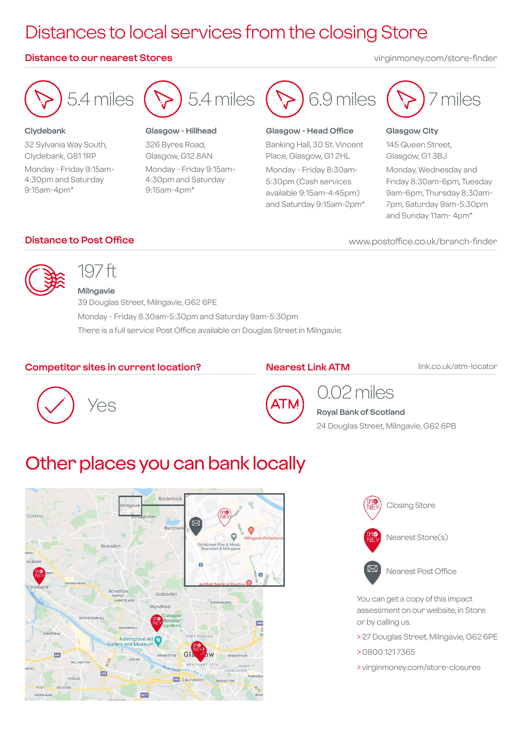## Distances to local services from the closing Store

### **Distance to our nearest Stores** virginmoney.com/store-finder



### **Clydebank**

32 Sylvania Way South, Clydebank, G81 1RP Monday - Friday 9:15am-4:30pm and Saturday 9:15am-4pm\*



### **Glasgow - Hillhead**

326 Byres Road, Glasgow, G12 8AN Monday - Friday 9:15am-4:30pm and Saturday 9:15am-4pm\*



### **Glasgow - Head Office**

Banking Hall, 30 St. Vincent Place, Glasgow, G1 2HL Monday - Friday 8:30am-5:30pm (Cash services available 9:15am-4:45pm) and Saturday 9:15am-2pm\*



### **Glasgow City**

145 Queen Street, Glasgow, G1 3BJ

Monday, Wednesday and Friday 8:30am-6pm, Tuesday 9am-6pm, Thursday 8:30am-7pm, Saturday 9am-5:30pm and Sunday 11am- 4pm\*

**Distance to Post Office www.postoffice.co.uk/branch-finder** 



## 197 ft

**Milngavie** 39 Douglas Street, Milngavie, G62 6PE Monday - Friday 8.30am-5:30pm and Saturday 9am-5:30pm There is a full service Post Office available on Douglas Street in Milngavie.

### **Competitor sites in current location?**

### **Nearest Link ATM**

link.co.uk/atm-locator





### 0.02 miles **Royal Bank of Scotland**

24 Douglas Street, Milngavie, G62 6PB

## Other places you can bank locally





You can get a copy of this impact assessment on our website, in Store or by calling us.

- > 27 Douglas Street, Milngavie, G62 6PE
- > 0800 121 7365
- > virginmoney.com/store-closures